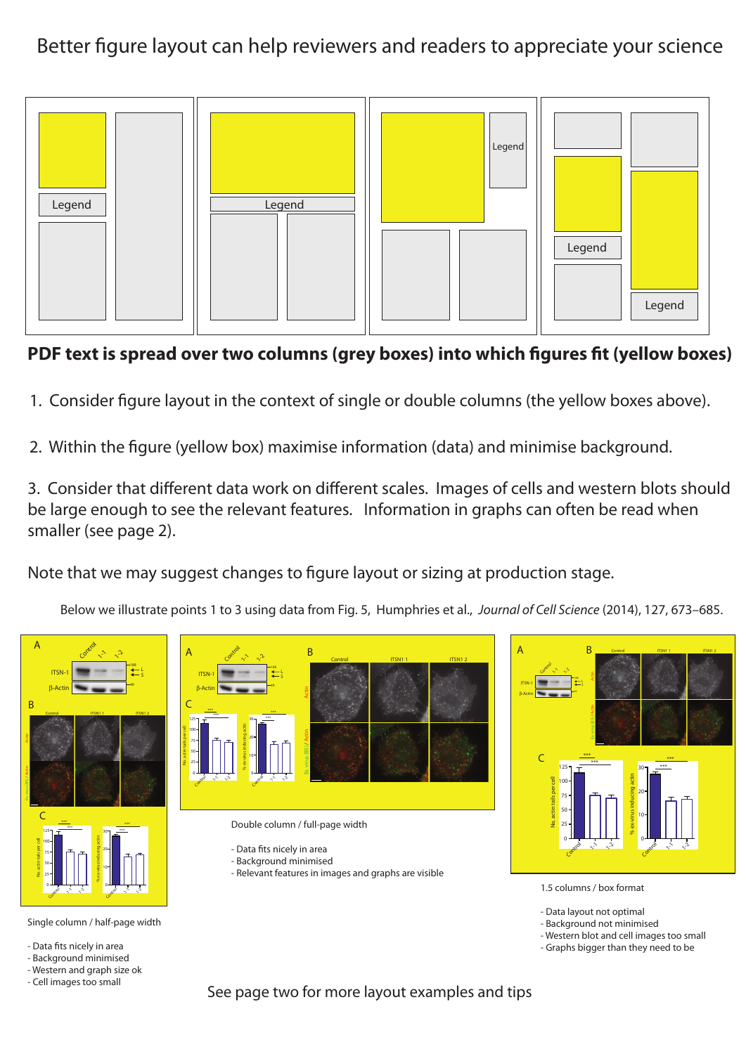Better figure layout can help reviewers and readers to appreciate your science



## **PDF text is spread over two columns (grey boxes) into which figures fit (yellow boxes)**

- 1. Consider figure layout in the context of single or double columns (the yellow boxes above).
- 2. Within the figure (yellow box) maximise information (data) and minimise background.

3. Consider that different data work on different scales. Images of cells and western blots should be large enough to see the relevant features. Information in graphs can often be read when smaller (see page 2).

Note that we may suggest changes to figure layout or sizing at production stage.

Below we illustrate points 1 to 3 using data from Fig. 5, Humphries et al., *Journal of Cell Science* (2014), 127, 673–685.



Single column / half-page width

- Data fits nicely in area

- Background minimised

- Western and graph size ok

- Cell images too small



- Data fits nicely in area - Background minimised
- Relevant features in images and graphs are visible



- 1.5 columns / box format
- Data layout not optimal
- Background not minimised
- Western blot and cell images too small
- Graphs bigger than they need to be

See page two for more layout examples and tips